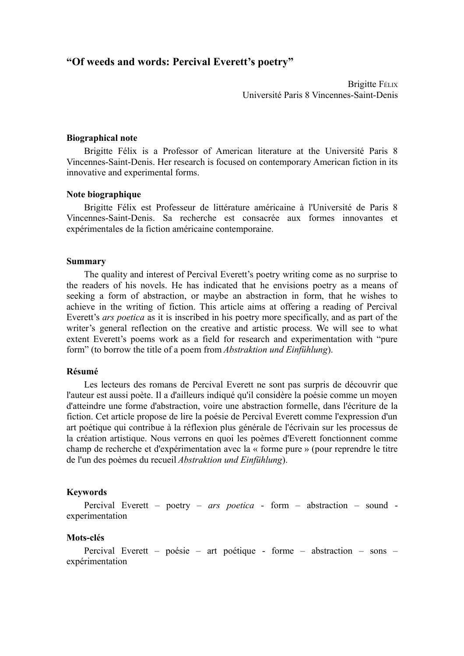# **"Of weeds and words: Percival Everett's poetry"**

Brigitte FÉLIX Université Paris 8 Vincennes-Saint-Denis

#### **Biographical note**

Brigitte Félix is a Professor of American literature at the Université Paris 8 Vincennes-Saint-Denis. Her research is focused on contemporary American fiction in its innovative and experimental forms.

## **Note biographique**

Brigitte Félix est Professeur de littérature américaine à l'Université de Paris 8 Vincennes-Saint-Denis. Sa recherche est consacrée aux formes innovantes et expérimentales de la fiction américaine contemporaine.

### **Summary**

The quality and interest of Percival Everett's poetry writing come as no surprise to the readers of his novels. He has indicated that he envisions poetry as a means of seeking a form of abstraction, or maybe an abstraction in form, that he wishes to achieve in the writing of fiction. This article aims at offering a reading of Percival Everett's *ars poetica* as it is inscribed in his poetry more specifically, and as part of the writer's general reflection on the creative and artistic process. We will see to what extent Everett's poems work as a field for research and experimentation with "pure form" (to borrow the title of a poem from *Abstraktion und Einfühlung*).

## **Résumé**

Les lecteurs des romans de Percival Everett ne sont pas surpris de découvrir que l'auteur est aussi poète. Il a d'ailleurs indiqué qu'il considère la poésie comme un moyen d'atteindre une forme d'abstraction, voire une abstraction formelle, dans l'écriture de la fiction. Cet article propose de lire la poésie de Percival Everett comme l'expression d'un art poétique qui contribue à la réflexion plus générale de l'écrivain sur les processus de la création artistique. Nous verrons en quoi les poèmes d'Everett fonctionnent comme champ de recherche et d'expérimentation avec la « forme pure » (pour reprendre le titre de l'un des poèmes du recueil *Abstraktion und Einfühlung*).

#### **Keywords**

Percival Everett – poetry – *ars poetica* - form – abstraction – sound experimentation

#### **Mots-clés**

Percival Everett – poésie – art poétique - forme – abstraction – sons – expérimentation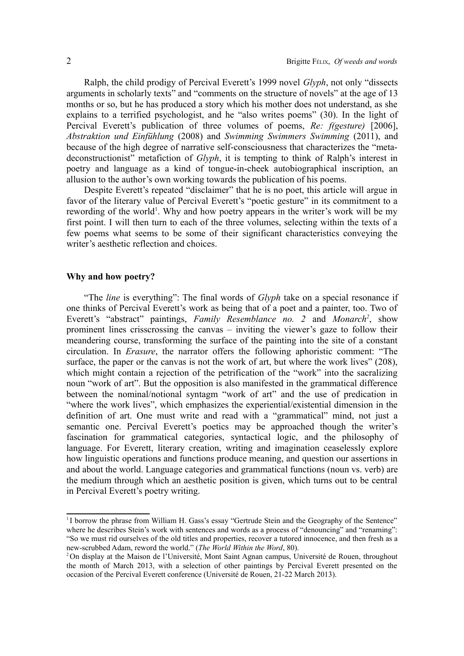Ralph, the child prodigy of Percival Everett's 1999 novel *Glyph*, not only "dissects arguments in scholarly texts" and "comments on the structure of novels" at the age of 13 months or so, but he has produced a story which his mother does not understand, as she explains to a terrified psychologist, and he "also writes poems" (30). In the light of Percival Everett's publication of three volumes of poems, *Re: f(gesture)* [2006], *Abstraktion und Einfühlung* (2008) and *Swimming Swimmers Swimming* (2011), and because of the high degree of narrative self-consciousness that characterizes the "metadeconstructionist" metafiction of *Glyph*, it is tempting to think of Ralph's interest in poetry and language as a kind of tongue-in-cheek autobiographical inscription, an allusion to the author's own working towards the publication of his poems.

Despite Everett's repeated "disclaimer" that he is no poet, this article will argue in favor of the literary value of Percival Everett's "poetic gesture" in its commitment to a rewording of the world<sup>[1](#page-1-0)</sup>. Why and how poetry appears in the writer's work will be my first point. I will then turn to each of the three volumes, selecting within the texts of a few poems what seems to be some of their significant characteristics conveying the writer's aesthetic reflection and choices.

## **Why and how poetry?**

"The *line* is everything": The final words of *Glyph* take on a special resonance if one thinks of Percival Everett's work as being that of a poet and a painter, too. Two of Everett's "abstract" paintings, *Family Resemblance no. 2* and *Monarch[2](#page-1-1)* , show prominent lines crisscrossing the canvas – inviting the viewer's gaze to follow their meandering course, transforming the surface of the painting into the site of a constant circulation. In *Erasure*, the narrator offers the following aphoristic comment: "The surface, the paper or the canvas is not the work of art, but where the work lives" (208), which might contain a rejection of the petrification of the "work" into the sacralizing noun "work of art". But the opposition is also manifested in the grammatical difference between the nominal/notional syntagm "work of art" and the use of predication in "where the work lives", which emphasizes the experiential/existential dimension in the definition of art. One must write and read with a "grammatical" mind, not just a semantic one. Percival Everett's poetics may be approached though the writer's fascination for grammatical categories, syntactical logic, and the philosophy of language. For Everett, literary creation, writing and imagination ceaselessly explore how linguistic operations and functions produce meaning, and question our assertions in and about the world. Language categories and grammatical functions (noun vs. verb) are the medium through which an aesthetic position is given, which turns out to be central in Percival Everett's poetry writing.

<span id="page-1-0"></span><sup>&</sup>lt;sup>1</sup>I borrow the phrase from William H. Gass's essay "Gertrude Stein and the Geography of the Sentence" where he describes Stein's work with sentences and words as a process of "denouncing" and "renaming": "So we must rid ourselves of the old titles and properties, recover a tutored innocence, and then fresh as a new-scrubbed Adam, reword the world." (*The World Within the Word*, 80).

<span id="page-1-1"></span><sup>&</sup>lt;sup>2</sup>On display at the Maison de l'Université, Mont Saint Agnan campus, Université de Rouen, throughout the month of March 2013, with a selection of other paintings by Percival Everett presented on the occasion of the Percival Everett conference (Université de Rouen, 21-22 March 2013).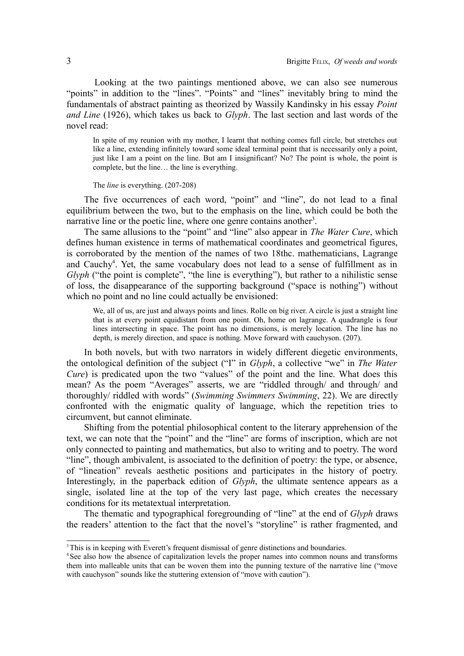Looking at the two paintings mentioned above, we can also see numerous "points" in addition to the "lines". "Points" and "lines" inevitably bring to mind the fundamentals of abstract painting as theorized by Wassily Kandinsky in his essay *Point and Line* (1926), which takes us back to *Glyph*. The last section and last words of the novel read:

In spite of my reunion with my mother, I learnt that nothing comes full circle, but stretches out like a line, extending infinitely toward some ideal terminal point that is necessarily only a point, just like I am a point on the line. But am I insignificant? No? The point is whole, the point is complete, but the line… the line is everything.

#### The *line* is everything. (207-208)

The five occurrences of each word, "point" and "line", do not lead to a final equilibrium between the two, but to the emphasis on the line, which could be both the narrative line or the poetic line, where one genre contains another<sup>[3](#page-2-0)</sup>.

The same allusions to the "point" and "line" also appear in *The Water Cure*, which defines human existence in terms of mathematical coordinates and geometrical figures, is corroborated by the mention of the names of two 18thc. mathematicians, Lagrange and Cauchy<sup>[4](#page-2-1)</sup>. Yet, the same vocabulary does not lead to a sense of fulfillment as in *Glyph* ("the point is complete", "the line is everything"), but rather to a nihilistic sense of loss, the disappearance of the supporting background ("space is nothing") without which no point and no line could actually be envisioned:

We, all of us, are just and always points and lines. Rolle on big river. A circle is just a straight line that is at every point equidistant from one point. Oh, home on lagrange. A quadrangle is four lines intersecting in space. The point has no dimensions, is merely location. The line has no depth, is merely direction, and space is nothing. Move forward with cauchyson. (207).

In both novels, but with two narrators in widely different diegetic environments, the ontological definition of the subject ("I" in *Glyph*, a collective "we" in *The Water Cure*) is predicated upon the two "values" of the point and the line. What does this mean? As the poem "Averages" asserts, we are "riddled through/ and through/ and thoroughly/ riddled with words" (*Swimming Swimmers Swimming*, 22). We are directly confronted with the enigmatic quality of language, which the repetition tries to circumvent, but cannot eliminate.

Shifting from the potential philosophical content to the literary apprehension of the text, we can note that the "point" and the "line" are forms of inscription, which are not only connected to painting and mathematics, but also to writing and to poetry. The word "line", though ambivalent, is associated to the definition of poetry: the type, or absence, of "lineation" reveals aesthetic positions and participates in the history of poetry. Interestingly, in the paperback edition of *Glyph*, the ultimate sentence appears as a single, isolated line at the top of the very last page, which creates the necessary conditions for its metatextual interpretation.

The thematic and typographical foregrounding of "line" at the end of *Glyph* draws the readers' attention to the fact that the novel's "storyline" is rather fragmented, and

<span id="page-2-0"></span><sup>&</sup>lt;sup>3</sup>This is in keeping with Everett's frequent dismissal of genre distinctions and boundaries.

<span id="page-2-1"></span><sup>&</sup>lt;sup>4</sup>See also how the absence of capitalization levels the proper names into common nouns and transforms them into malleable units that can be woven them into the punning texture of the narrative line ("move with cauchyson" sounds like the stuttering extension of "move with caution").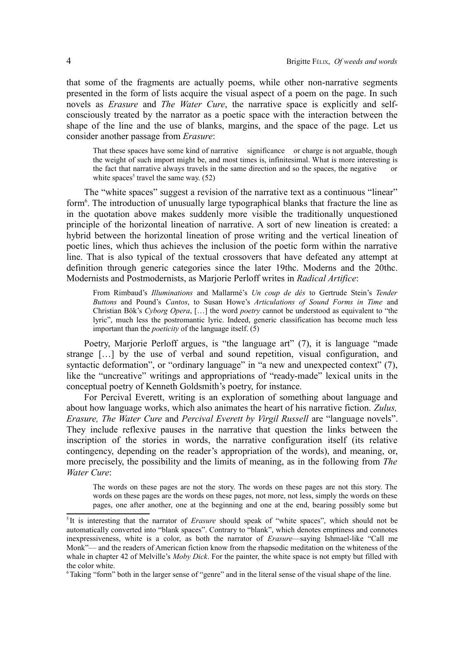that some of the fragments are actually poems, while other non-narrative segments presented in the form of lists acquire the visual aspect of a poem on the page. In such novels as *Erasure* and *The Water Cure*, the narrative space is explicitly and selfconsciously treated by the narrator as a poetic space with the interaction between the shape of the line and the use of blanks, margins, and the space of the page. Let us consider another passage from *Erasure*:

That these spaces have some kind of narrative significance or charge is not arguable, though the weight of such import might be, and most times is, infinitesimal. What is more interesting is the fact that narrative always travels in the same direction and so the spaces, the negative or white spaces<sup>[5](#page-3-0)</sup> travel the same way.  $(52)$ 

The "white spaces" suggest a revision of the narrative text as a continuous "linear" form<sup>[6](#page-3-1)</sup>. The introduction of unusually large typographical blanks that fracture the line as in the quotation above makes suddenly more visible the traditionally unquestioned principle of the horizontal lineation of narrative. A sort of new lineation is created: a hybrid between the horizontal lineation of prose writing and the vertical lineation of poetic lines, which thus achieves the inclusion of the poetic form within the narrative line. That is also typical of the textual crossovers that have defeated any attempt at definition through generic categories since the later 19thc. Moderns and the 20thc. Modernists and Postmodernists, as Marjorie Perloff writes in *Radical Artifice*:

From Rimbaud's *Illuminations* and Mallarmé's *Un coup de dés* to Gertrude Stein's *Tender Buttons* and Pound's *Cantos*, to Susan Howe's *Articulations of Sound Forms in Time* and Christian Bök's *Cyborg Opera*, […] the word *poetry* cannot be understood as equivalent to "the lyric", much less the postromantic lyric. Indeed, generic classification has become much less important than the *poeticity* of the language itself. (5)

Poetry, Marjorie Perloff argues, is "the language art" (7), it is language "made strange […] by the use of verbal and sound repetition, visual configuration, and syntactic deformation", or "ordinary language" in "a new and unexpected context" (7), like the "uncreative" writings and appropriations of "ready-made" lexical units in the conceptual poetry of Kenneth Goldsmith's poetry, for instance.

For Percival Everett, writing is an exploration of something about language and about how language works, which also animates the heart of his narrative fiction. *Zulus, Erasure, The Water Cure* and *Percival Everett by Virgil Russell* are "language novels". They include reflexive pauses in the narrative that question the links between the inscription of the stories in words, the narrative configuration itself (its relative contingency, depending on the reader's appropriation of the words), and meaning, or, more precisely, the possibility and the limits of meaning, as in the following from *The Water Cure*:

The words on these pages are not the story. The words on these pages are not this story. The words on these pages are the words on these pages, not more, not less, simply the words on these pages, one after another, one at the beginning and one at the end, bearing possibly some but

<span id="page-3-0"></span><sup>&</sup>lt;sup>5</sup>It is interesting that the narrator of *Erasure* should speak of "white spaces", which should not be automatically converted into "blank spaces". Contrary to "blank", which denotes emptiness and connotes inexpressiveness, white is a color, as both the narrator of *Erasure*—saying Ishmael-like "Call me Monk"— and the readers of American fiction know from the rhapsodic meditation on the whiteness of the whale in chapter 42 of Melville's *Moby Dick*. For the painter, the white space is not empty but filled with the color white.

<span id="page-3-1"></span><sup>6</sup> Taking "form" both in the larger sense of "genre" and in the literal sense of the visual shape of the line.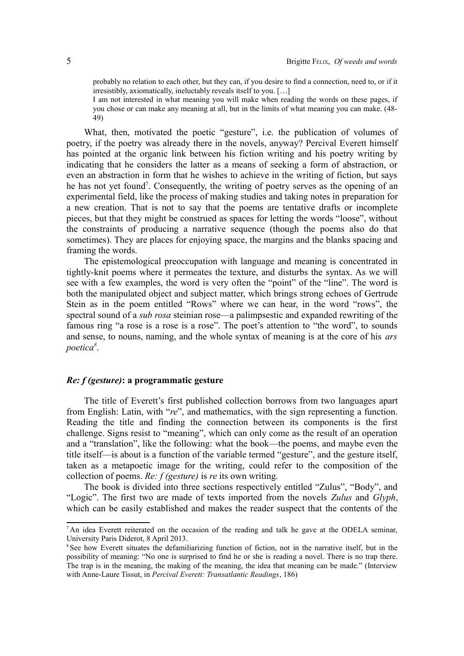probably no relation to each other, but they can, if you desire to find a connection, need to, or if it irresistibly, axiomatically, ineluctably reveals itself to you. […]

I am not interested in what meaning you will make when reading the words on these pages, if you chose or can make any meaning at all, but in the limits of what meaning you can make. (48- 49)

What, then, motivated the poetic "gesture", i.e. the publication of volumes of poetry, if the poetry was already there in the novels, anyway? Percival Everett himself has pointed at the organic link between his fiction writing and his poetry writing by indicating that he considers the latter as a means of seeking a form of abstraction, or even an abstraction in form that he wishes to achieve in the writing of fiction, but says he has not yet found<sup>[7](#page-4-0)</sup>. Consequently, the writing of poetry serves as the opening of an experimental field, like the process of making studies and taking notes in preparation for a new creation. That is not to say that the poems are tentative drafts or incomplete pieces, but that they might be construed as spaces for letting the words "loose", without the constraints of producing a narrative sequence (though the poems also do that sometimes). They are places for enjoying space, the margins and the blanks spacing and framing the words.

The epistemological preoccupation with language and meaning is concentrated in tightly-knit poems where it permeates the texture, and disturbs the syntax. As we will see with a few examples, the word is very often the "point" of the "line". The word is both the manipulated object and subject matter, which brings strong echoes of Gertrude Stein as in the poem entitled "Rows" where we can hear, in the word "rows", the spectral sound of a *sub rosa* steinian rose—a palimpsestic and expanded rewriting of the famous ring "a rose is a rose is a rose". The poet's attention to "the word", to sounds and sense, to nouns, naming, and the whole syntax of meaning is at the core of his *ars poetica[8](#page-4-1)* .

## *Re: f (gesture)***: a programmatic gesture**

The title of Everett's first published collection borrows from two languages apart from English: Latin, with "*re*", and mathematics, with the sign representing a function. Reading the title and finding the connection between its components is the first challenge. Signs resist to "meaning", which can only come as the result of an operation and a "translation", like the following: what the book—the poems, and maybe even the title itself—is about is a function of the variable termed "gesture", and the gesture itself, taken as a metapoetic image for the writing, could refer to the composition of the collection of poems. *Re: f (gesture)* is *re* its own writing.

The book is divided into three sections respectively entitled "Zulus", "Body", and "Logic". The first two are made of texts imported from the novels *Zulus* and *Glyph*, which can be easily established and makes the reader suspect that the contents of the

<span id="page-4-0"></span> $<sup>7</sup>$ An idea Everett reiterated on the occasion of the reading and talk he gave at the ODELA seminar,</sup> University Paris Diderot, 8 April 2013.

<span id="page-4-1"></span><sup>&</sup>lt;sup>8</sup>See how Everett situates the defamiliarizing function of fiction, not in the narrative itself, but in the possibility of meaning: "No one is surprised to find he or she is reading a novel. There is no trap there. The trap is in the meaning, the making of the meaning, the idea that meaning can be made." (Interview with Anne-Laure Tissut, in *Percival Everett: Transatlantic Readings*, 186)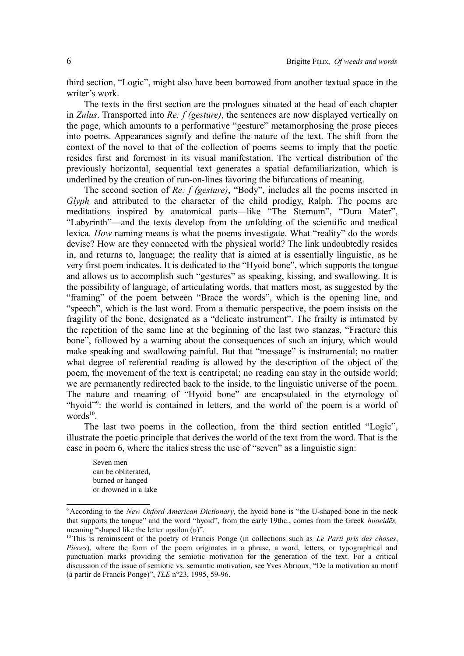third section, "Logic", might also have been borrowed from another textual space in the writer's work.

The texts in the first section are the prologues situated at the head of each chapter in *Zulus*. Transported into *Re: f (gesture)*, the sentences are now displayed vertically on the page, which amounts to a performative "gesture" metamorphosing the prose pieces into poems. Appearances signify and define the nature of the text. The shift from the context of the novel to that of the collection of poems seems to imply that the poetic resides first and foremost in its visual manifestation. The vertical distribution of the previously horizontal, sequential text generates a spatial defamiliarization, which is underlined by the creation of run-on-lines favoring the bifurcations of meaning.

The second section of *Re: f (gesture)*, "Body", includes all the poems inserted in *Glyph* and attributed to the character of the child prodigy, Ralph. The poems are meditations inspired by anatomical parts—like "The Sternum", "Dura Mater", "Labyrinth"—and the texts develop from the unfolding of the scientific and medical lexica. *How* naming means is what the poems investigate. What "reality" do the words devise? How are they connected with the physical world? The link undoubtedly resides in, and returns to, language; the reality that is aimed at is essentially linguistic, as he very first poem indicates. It is dedicated to the "Hyoid bone", which supports the tongue and allows us to accomplish such "gestures" as speaking, kissing, and swallowing. It is the possibility of language, of articulating words, that matters most, as suggested by the "framing" of the poem between "Brace the words", which is the opening line, and "speech", which is the last word. From a thematic perspective, the poem insists on the fragility of the bone, designated as a "delicate instrument". The frailty is intimated by the repetition of the same line at the beginning of the last two stanzas, "Fracture this bone", followed by a warning about the consequences of such an injury, which would make speaking and swallowing painful. But that "message" is instrumental; no matter what degree of referential reading is allowed by the description of the object of the poem, the movement of the text is centripetal; no reading can stay in the outside world; we are permanently redirected back to the inside, to the linguistic universe of the poem. The nature and meaning of "Hyoid bone" are encapsulated in the etymology of "hyoid"<sup>[9](#page-5-0)</sup>: the world is contained in letters, and the world of the poem is a world of  $words<sup>10</sup>$  $words<sup>10</sup>$  $words<sup>10</sup>$ .

The last two poems in the collection, from the third section entitled "Logic", illustrate the poetic principle that derives the world of the text from the word. That is the case in poem 6, where the italics stress the use of "seven" as a linguistic sign:

Seven men can be obliterated, burned or hanged or drowned in a lake

<span id="page-5-0"></span><sup>9</sup>According to the *New Oxford American Dictionary*, the hyoid bone is "the U-shaped bone in the neck that supports the tongue" and the word "hyoid", from the early 19thc., comes from the Greek *huoeidēs,* meaning "shaped like the letter upsilon (υ)".

<span id="page-5-1"></span><sup>10</sup>This is reminiscent of the poetry of Francis Ponge (in collections such as *Le Parti pris des choses*, *Pièces*), where the form of the poem originates in a phrase, a word, letters, or typographical and punctuation marks providing the semiotic motivation for the generation of the text. For a critical discussion of the issue of semiotic vs. semantic motivation, see Yves Abrioux, "De la motivation au motif (à partir de Francis Ponge)", *TLE* n°23, 1995, 59-96.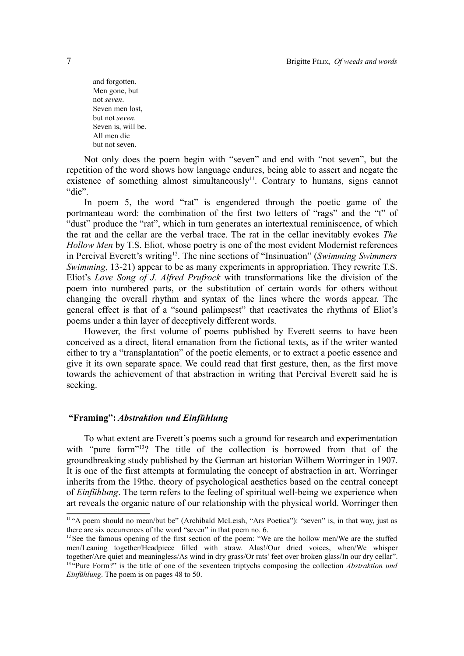and forgotten. Men gone, but not *seven*. Seven men lost, but not *seven*. Seven is, will be. All men die but not seven.

Not only does the poem begin with "seven" and end with "not seven", but the repetition of the word shows how language endures, being able to assert and negate the existence of something almost simultaneously<sup>[11](#page-6-0)</sup>. Contrary to humans, signs cannot "die".

In poem 5, the word "rat" is engendered through the poetic game of the portmanteau word: the combination of the first two letters of "rags" and the "t" of "dust" produce the "rat", which in turn generates an intertextual reminiscence, of which the rat and the cellar are the verbal trace. The rat in the cellar inevitably evokes *The Hollow Men* by T.S. Eliot, whose poetry is one of the most evident Modernist references in Percival Everett's writing[12](#page-6-1). The nine sections of "Insinuation" (*Swimming Swimmers Swimming*, 13-21) appear to be as many experiments in appropriation. They rewrite T.S. Eliot's *Love Song of J. Alfred Prufrock* with transformations like the division of the poem into numbered parts, or the substitution of certain words for others without changing the overall rhythm and syntax of the lines where the words appear. The general effect is that of a "sound palimpsest" that reactivates the rhythms of Eliot's poems under a thin layer of deceptively different words.

However, the first volume of poems published by Everett seems to have been conceived as a direct, literal emanation from the fictional texts, as if the writer wanted either to try a "transplantation" of the poetic elements, or to extract a poetic essence and give it its own separate space. We could read that first gesture, then, as the first move towards the achievement of that abstraction in writing that Percival Everett said he is seeking.

### **"Framing":** *Abstraktion und Einfühlung*

To what extent are Everett's poems such a ground for research and experimentation with "pure form"<sup>[13](#page-6-2)</sup>? The title of the collection is borrowed from that of the groundbreaking study published by the German art historian Wilhem Worringer in 1907. It is one of the first attempts at formulating the concept of abstraction in art. Worringer inherits from the 19thc. theory of psychological aesthetics based on the central concept of *Einfühlung*. The term refers to the feeling of spiritual well-being we experience when art reveals the organic nature of our relationship with the physical world. Worringer then

<span id="page-6-0"></span><sup>&</sup>lt;sup>11</sup>"A poem should no mean/but be" (Archibald McLeish, "Ars Poetica"): "seven" is, in that way, just as there are six occurrences of the word "seven" in that poem no. 6.

<span id="page-6-2"></span><span id="page-6-1"></span><sup>&</sup>lt;sup>12</sup> See the famous opening of the first section of the poem: "We are the hollow men/We are the stuffed men/Leaning together/Headpiece filled with straw. Alas!/Our dried voices, when/We whisper together/Are quiet and meaningless/As wind in dry grass/Or rats' feet over broken glass/In our dry cellar". <sup>13 "Pure Form?" is the title of one of the seventeen triptychs composing the collection *Abstraktion und*</sup> *Einfühlung*. The poem is on pages 48 to 50.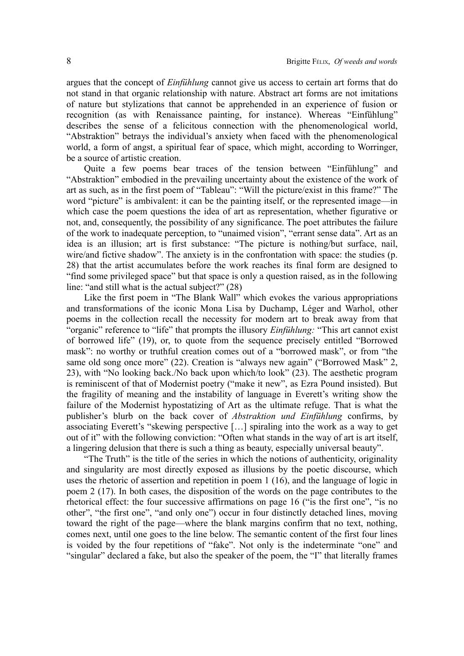argues that the concept of *Einfühlung* cannot give us access to certain art forms that do not stand in that organic relationship with nature. Abstract art forms are not imitations of nature but stylizations that cannot be apprehended in an experience of fusion or recognition (as with Renaissance painting, for instance). Whereas "Einfühlung" describes the sense of a felicitous connection with the phenomenological world, "Abstraktion" betrays the individual's anxiety when faced with the phenomenological world, a form of angst, a spiritual fear of space, which might, according to Worringer, be a source of artistic creation.

Quite a few poems bear traces of the tension between "Einfühlung" and "Abstraktion" embodied in the prevailing uncertainty about the existence of the work of art as such, as in the first poem of "Tableau": "Will the picture/exist in this frame?" The word "picture" is ambivalent: it can be the painting itself, or the represented image—in which case the poem questions the idea of art as representation, whether figurative or not, and, consequently, the possibility of any significance. The poet attributes the failure of the work to inadequate perception, to "unaimed vision", "errant sense data". Art as an idea is an illusion; art is first substance: "The picture is nothing/but surface, nail, wire/and fictive shadow". The anxiety is in the confrontation with space: the studies (p. 28) that the artist accumulates before the work reaches its final form are designed to "find some privileged space" but that space is only a question raised, as in the following line: "and still what is the actual subject?" (28)

Like the first poem in "The Blank Wall" which evokes the various appropriations and transformations of the iconic Mona Lisa by Duchamp, Léger and Warhol, other poems in the collection recall the necessity for modern art to break away from that "organic" reference to "life" that prompts the illusory *Einfühlung:* "This art cannot exist of borrowed life" (19), or, to quote from the sequence precisely entitled "Borrowed mask": no worthy or truthful creation comes out of a "borrowed mask", or from "the same old song once more" (22). Creation is "always new again" ("Borrowed Mask" 2, 23), with "No looking back./No back upon which/to look" (23). The aesthetic program is reminiscent of that of Modernist poetry ("make it new", as Ezra Pound insisted). But the fragility of meaning and the instability of language in Everett's writing show the failure of the Modernist hypostatizing of Art as the ultimate refuge. That is what the publisher's blurb on the back cover of *Abstraktion und Einfühlung* confirms, by associating Everett's "skewing perspective […] spiraling into the work as a way to get out of it" with the following conviction: "Often what stands in the way of art is art itself, a lingering delusion that there is such a thing as beauty, especially universal beauty".

"The Truth" is the title of the series in which the notions of authenticity, originality and singularity are most directly exposed as illusions by the poetic discourse, which uses the rhetoric of assertion and repetition in poem 1 (16), and the language of logic in poem 2 (17). In both cases, the disposition of the words on the page contributes to the rhetorical effect: the four successive affirmations on page 16 ("is the first one", "is no other", "the first one", "and only one") occur in four distinctly detached lines, moving toward the right of the page—where the blank margins confirm that no text, nothing, comes next, until one goes to the line below. The semantic content of the first four lines is voided by the four repetitions of "fake". Not only is the indeterminate "one" and "singular" declared a fake, but also the speaker of the poem, the "I" that literally frames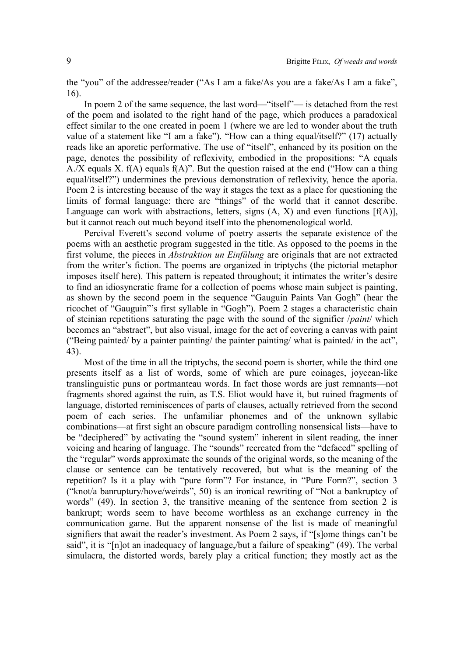the "you" of the addressee/reader ("As I am a fake/As you are a fake/As I am a fake", 16).

In poem 2 of the same sequence, the last word—"itself"— is detached from the rest of the poem and isolated to the right hand of the page, which produces a paradoxical effect similar to the one created in poem 1 (where we are led to wonder about the truth value of a statement like "I am a fake"). "How can a thing equal/itself?" (17) actually reads like an aporetic performative. The use of "itself", enhanced by its position on the page, denotes the possibility of reflexivity, embodied in the propositions: "A equals A./X equals X,  $f(A)$  equals  $f(A)$ ". But the question raised at the end ("How can a thing equal/itself?") undermines the previous demonstration of reflexivity, hence the aporia. Poem 2 is interesting because of the way it stages the text as a place for questioning the limits of formal language: there are "things" of the world that it cannot describe. Language can work with abstractions, letters, signs  $(A, X)$  and even functions  $[f(A)]$ , but it cannot reach out much beyond itself into the phenomenological world.

Percival Everett's second volume of poetry asserts the separate existence of the poems with an aesthetic program suggested in the title. As opposed to the poems in the first volume, the pieces in *Abstraktion un Einfülung* are originals that are not extracted from the writer's fiction. The poems are organized in triptychs (the pictorial metaphor imposes itself here). This pattern is repeated throughout; it intimates the writer's desire to find an idiosyncratic frame for a collection of poems whose main subject is painting, as shown by the second poem in the sequence "Gauguin Paints Van Gogh" (hear the ricochet of "Gauguin"'s first syllable in "Gogh"). Poem 2 stages a characteristic chain of steinian repetitions saturating the page with the sound of the signifier /*paint*/ which becomes an "abstract", but also visual, image for the act of covering a canvas with paint ("Being painted/ by a painter painting/ the painter painting/ what is painted/ in the act", 43).

Most of the time in all the triptychs, the second poem is shorter, while the third one presents itself as a list of words, some of which are pure coinages, joycean-like translinguistic puns or portmanteau words. In fact those words are just remnants—not fragments shored against the ruin, as T.S. Eliot would have it, but ruined fragments of language, distorted reminiscences of parts of clauses, actually retrieved from the second poem of each series. The unfamiliar phonemes and of the unknown syllabic combinations—at first sight an obscure paradigm controlling nonsensical lists—have to be "deciphered" by activating the "sound system" inherent in silent reading, the inner voicing and hearing of language. The "sounds" recreated from the "defaced" spelling of the "regular" words approximate the sounds of the original words, so the meaning of the clause or sentence can be tentatively recovered, but what is the meaning of the repetition? Is it a play with "pure form"? For instance, in "Pure Form?", section 3 ("knot/a banruptury/hove/weirds", 50) is an ironical rewriting of "Not a bankruptcy of words" (49). In section 3, the transitive meaning of the sentence from section 2 is bankrupt; words seem to have become worthless as an exchange currency in the communication game. But the apparent nonsense of the list is made of meaningful signifiers that await the reader's investment. As Poem 2 says, if "[s]ome things can't be said", it is "[n]ot an inadequacy of language,/but a failure of speaking" (49). The verbal simulacra, the distorted words, barely play a critical function; they mostly act as the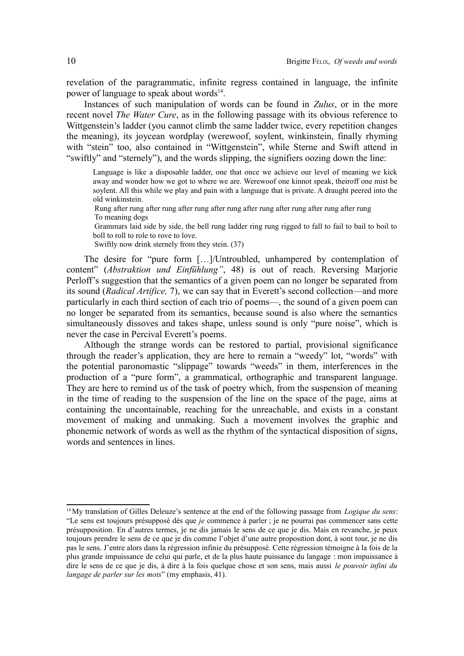revelation of the paragrammatic, infinite regress contained in language, the infinite power of language to speak about words<sup>[14](#page-9-0)</sup>.

Instances of such manipulation of words can be found in *Zulus*, or in the more recent novel *The Water Cure*, as in the following passage with its obvious reference to Wittgenstein's ladder (you cannot climb the same ladder twice, every repetition changes the meaning), its joycean wordplay (werewoof, soylent, winkinstein, finally rhyming with "stein" too, also contained in "Wittgenstein", while Sterne and Swift attend in "swiftly" and "sternely"), and the words slipping, the signifiers oozing down the line:

Language is like a disposable ladder, one that once we achieve our level of meaning we kick away and wonder how we got to where we are. Werewoof one kinnot speak, theiroff one mist be soylent. All this while we play and pain with a language that is private. A draught peered into the old winkinstein.

Rung after rung after rung after rung after rung after rung after rung after rung after rung To meaning dogs

Grammars laid side by side, the bell rung ladder ring rung rigged to fall to fail to bail to boil to boll to roll to role to rove to love.

Swiftly now drink sternely from they stein. (37)

The desire for "pure form […]/Untroubled, unhampered by contemplation of content" (*Abstraktion und Einfühlung"*, 48) is out of reach. Reversing Marjorie Perloff's suggestion that the semantics of a given poem can no longer be separated from its sound (*Radical Artifice,* 7), we can say that in Everett's second collection—and more particularly in each third section of each trio of poems—, the sound of a given poem can no longer be separated from its semantics, because sound is also where the semantics simultaneously dissoves and takes shape, unless sound is only "pure noise", which is never the case in Percival Everett's poems.

Although the strange words can be restored to partial, provisional significance through the reader's application, they are here to remain a "weedy" lot, "words" with the potential paronomastic "slippage" towards "weeds" in them, interferences in the production of a "pure form", a grammatical, orthographic and transparent language. They are here to remind us of the task of poetry which, from the suspension of meaning in the time of reading to the suspension of the line on the space of the page, aims at containing the uncontainable, reaching for the unreachable, and exists in a constant movement of making and unmaking. Such a movement involves the graphic and phonemic network of words as well as the rhythm of the syntactical disposition of signs, words and sentences in lines.

<span id="page-9-0"></span><sup>&</sup>lt;sup>14</sup> My translation of Gilles Deleuze's sentence at the end of the following passage from *Logique du sens*: "Le sens est toujours présupposé dès que *je* commence à parler ; je ne pourrai pas commencer sans cette présupposition. En d'autres termes, je ne dis jamais le sens de ce que je dis. Mais en revanche, je peux toujours prendre le sens de ce que je dis comme l'objet d'une autre proposition dont, à sont tour, je ne dis pas le sens. J'entre alors dans la régression infinie du présupposé. Cette régression témoigne à la fois de la plus grande impuissance de celui qui parle, et de la plus haute puissance du langage : mon impuissance à dire le sens de ce que je dis, à dire à la fois quelque chose et son sens, mais aussi *le pouvoir infini du langage de parler sur les mots*" (my emphasis, 41).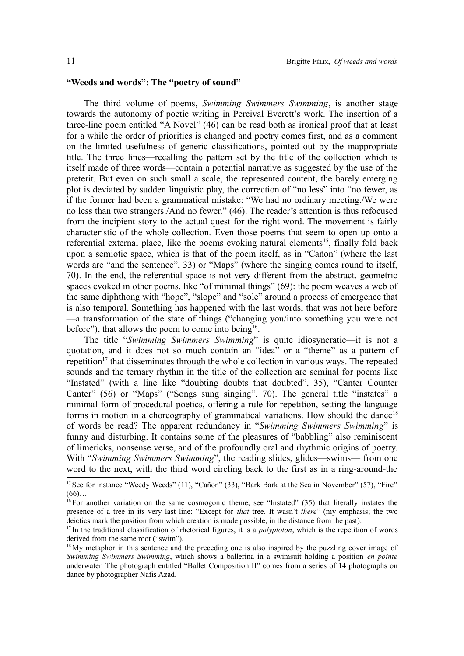### **"Weeds and words": The "poetry of sound"**

The third volume of poems, *Swimming Swimmers Swimming*, is another stage towards the autonomy of poetic writing in Percival Everett's work. The insertion of a three-line poem entitled "A Novel" (46) can be read both as ironical proof that at least for a while the order of priorities is changed and poetry comes first, and as a comment on the limited usefulness of generic classifications, pointed out by the inappropriate title. The three lines—recalling the pattern set by the title of the collection which is itself made of three words—contain a potential narrative as suggested by the use of the preterit. But even on such small a scale, the represented content, the barely emerging plot is deviated by sudden linguistic play, the correction of "no less" into "no fewer, as if the former had been a grammatical mistake: "We had no ordinary meeting./We were no less than two strangers./And no fewer." (46). The reader's attention is thus refocused from the incipient story to the actual quest for the right word. The movement is fairly characteristic of the whole collection. Even those poems that seem to open up onto a referential external place, like the poems evoking natural elements<sup>[15](#page-10-0)</sup>, finally fold back upon a semiotic space, which is that of the poem itself, as in "Cañon" (where the last words are "and the sentence", 33) or "Maps" (where the singing comes round to itself, 70). In the end, the referential space is not very different from the abstract, geometric spaces evoked in other poems, like "of minimal things" (69): the poem weaves a web of the same diphthong with "hope", "slope" and "sole" around a process of emergence that is also temporal. Something has happened with the last words, that was not here before —a transformation of the state of things ("changing you/into something you were not before"), that allows the poem to come into being<sup>[16](#page-10-1)</sup>.

The title "*Swimming Swimmers Swimming*" is quite idiosyncratic—it is not a quotation, and it does not so much contain an "idea" or a "theme" as a pattern of repetition<sup>[17](#page-10-2)</sup> that disseminates through the whole collection in various ways. The repeated sounds and the ternary rhythm in the title of the collection are seminal for poems like "Instated" (with a line like "doubting doubts that doubted", 35), "Canter Counter Canter" (56) or "Maps" ("Songs sung singing", 70). The general title "instates" a minimal form of procedural poetics, offering a rule for repetition, setting the language forms in motion in a choreography of grammatical variations. How should the dance<sup>[18](#page-10-3)</sup> of words be read? The apparent redundancy in "*Swimming Swimmers Swimming*" is funny and disturbing. It contains some of the pleasures of "babbling" also reminiscent of limericks, nonsense verse, and of the profoundly oral and rhythmic origins of poetry. With "Swimming Swimmers Swimming", the reading slides, glides—swims— from one word to the next, with the third word circling back to the first as in a ring-around-the

<span id="page-10-0"></span><sup>&</sup>lt;sup>15</sup> See for instance "Weedy Weeds" (11), "Cañon" (33), "Bark Bark at the Sea in November" (57), "Fire"  $(66)$ …

<span id="page-10-1"></span> $16$  For another variation on the same cosmogonic theme, see "Instated" (35) that literally instates the presence of a tree in its very last line: "Except for *that* tree. It wasn't *there*" (my emphasis; the two deictics mark the position from which creation is made possible, in the distance from the past).

<span id="page-10-2"></span><sup>&</sup>lt;sup>17</sup>In the traditional classification of rhetorical figures, it is a *polyptoton*, which is the repetition of words derived from the same root ("swim").

<span id="page-10-3"></span><sup>&</sup>lt;sup>18</sup>My metaphor in this sentence and the preceding one is also inspired by the puzzling cover image of *Swimming Swimmers Swimming*, which shows a ballerina in a swimsuit holding a position *en pointe* underwater. The photograph entitled "Ballet Composition II" comes from a series of 14 photographs on dance by photographer Nafis Azad.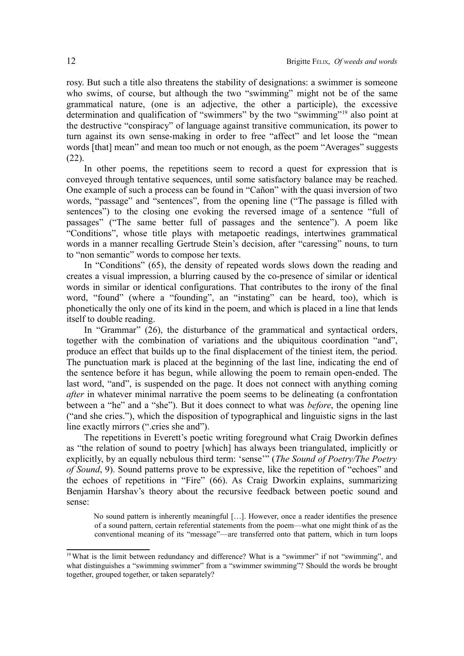rosy. But such a title also threatens the stability of designations: a swimmer is someone who swims, of course, but although the two "swimming" might not be of the same grammatical nature, (one is an adjective, the other a participle), the excessive determination and qualification of "swimmers" by the two "swimming"[19](#page-11-0) also point at the destructive "conspiracy" of language against transitive communication, its power to turn against its own sense-making in order to free "affect" and let loose the "mean words [that] mean" and mean too much or not enough, as the poem "Averages" suggests (22).

In other poems, the repetitions seem to record a quest for expression that is conveyed through tentative sequences, until some satisfactory balance may be reached. One example of such a process can be found in "Cañon" with the quasi inversion of two words, "passage" and "sentences", from the opening line ("The passage is filled with sentences") to the closing one evoking the reversed image of a sentence "full of passages" ("The same better full of passages and the sentence"). A poem like "Conditions", whose title plays with metapoetic readings, intertwines grammatical words in a manner recalling Gertrude Stein's decision, after "caressing" nouns, to turn to "non semantic" words to compose her texts.

In "Conditions" (65), the density of repeated words slows down the reading and creates a visual impression, a blurring caused by the co-presence of similar or identical words in similar or identical configurations. That contributes to the irony of the final word, "found" (where a "founding", an "instating" can be heard, too), which is phonetically the only one of its kind in the poem, and which is placed in a line that lends itself to double reading.

In "Grammar" (26), the disturbance of the grammatical and syntactical orders, together with the combination of variations and the ubiquitous coordination "and", produce an effect that builds up to the final displacement of the tiniest item, the period. The punctuation mark is placed at the beginning of the last line, indicating the end of the sentence before it has begun, while allowing the poem to remain open-ended. The last word, "and", is suspended on the page. It does not connect with anything coming *after* in whatever minimal narrative the poem seems to be delineating (a confrontation between a "he" and a "she"). But it does connect to what was *before*, the opening line ("and she cries."), which the disposition of typographical and linguistic signs in the last line exactly mirrors (".cries she and").

The repetitions in Everett's poetic writing foreground what Craig Dworkin defines as "the relation of sound to poetry [which] has always been triangulated, implicitly or explicitly, by an equally nebulous third term: 'sense'" (*The Sound of Poetry/The Poetry of Sound*, 9). Sound patterns prove to be expressive, like the repetition of "echoes" and the echoes of repetitions in "Fire" (66). As Craig Dworkin explains, summarizing Benjamin Harshav's theory about the recursive feedback between poetic sound and sense:

No sound pattern is inherently meaningful […]. However, once a reader identifies the presence of a sound pattern, certain referential statements from the poem—what one might think of as the conventional meaning of its "message"—are transferred onto that pattern, which in turn loops

<span id="page-11-0"></span><sup>&</sup>lt;sup>19</sup> What is the limit between redundancy and difference? What is a "swimmer" if not "swimming", and what distinguishes a "swimming swimmer" from a "swimmer swimming"? Should the words be brought together, grouped together, or taken separately?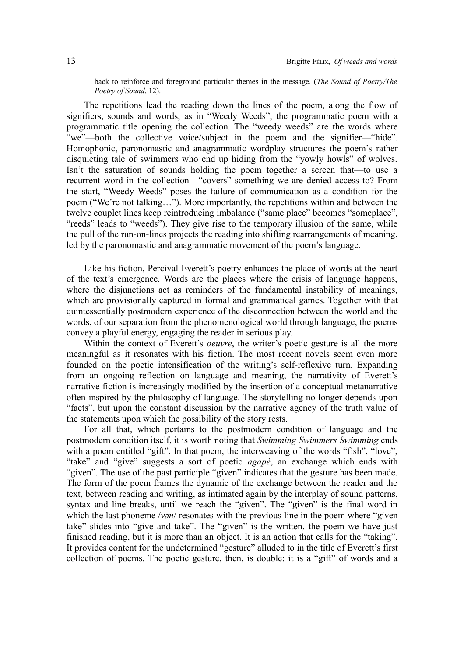back to reinforce and foreground particular themes in the message. (*The Sound of Poetry/The Poetry of Sound*, 12).

The repetitions lead the reading down the lines of the poem, along the flow of signifiers, sounds and words, as in "Weedy Weeds", the programmatic poem with a programmatic title opening the collection. The "weedy weeds" are the words where "we"—both the collective voice/subject in the poem and the signifier—"hide". Homophonic, paronomastic and anagrammatic wordplay structures the poem's rather disquieting tale of swimmers who end up hiding from the "yowly howls" of wolves. Isn't the saturation of sounds holding the poem together a screen that—to use a recurrent word in the collection—"covers" something we are denied access to? From the start, "Weedy Weeds" poses the failure of communication as a condition for the poem ("We're not talking…"). More importantly, the repetitions within and between the twelve couplet lines keep reintroducing imbalance ("same place" becomes "someplace", "reeds" leads to "weeds"). They give rise to the temporary illusion of the same, while the pull of the run-on-lines projects the reading into shifting rearrangements of meaning, led by the paronomastic and anagrammatic movement of the poem's language.

Like his fiction, Percival Everett's poetry enhances the place of words at the heart of the text's emergence. Words are the places where the crisis of language happens, where the disjunctions act as reminders of the fundamental instability of meanings, which are provisionally captured in formal and grammatical games. Together with that quintessentially postmodern experience of the disconnection between the world and the words, of our separation from the phenomenological world through language, the poems convey a playful energy, engaging the reader in serious play.

Within the context of Everett's *oeuvre*, the writer's poetic gesture is all the more meaningful as it resonates with his fiction. The most recent novels seem even more founded on the poetic intensification of the writing's self-reflexive turn. Expanding from an ongoing reflection on language and meaning, the narrativity of Everett's narrative fiction is increasingly modified by the insertion of a conceptual metanarrative often inspired by the philosophy of language. The storytelling no longer depends upon "facts", but upon the constant discussion by the narrative agency of the truth value of the statements upon which the possibility of the story rests.

For all that, which pertains to the postmodern condition of language and the postmodern condition itself, it is worth noting that *Swimming Swimmers Swimming* ends with a poem entitled "gift". In that poem, the interweaving of the words "fish", "love", "take" and "give" suggests a sort of poetic *agapè*, an exchange which ends with "given". The use of the past participle "given" indicates that the gesture has been made. The form of the poem frames the dynamic of the exchange between the reader and the text, between reading and writing, as intimated again by the interplay of sound patterns, syntax and line breaks, until we reach the "given". The "given" is the final word in which the last phoneme */van*/ resonates with the previous line in the poem where "given" take" slides into "give and take". The "given" is the written, the poem we have just finished reading, but it is more than an object. It is an action that calls for the "taking". It provides content for the undetermined "gesture" alluded to in the title of Everett's first collection of poems. The poetic gesture, then, is double: it is a "gift" of words and a